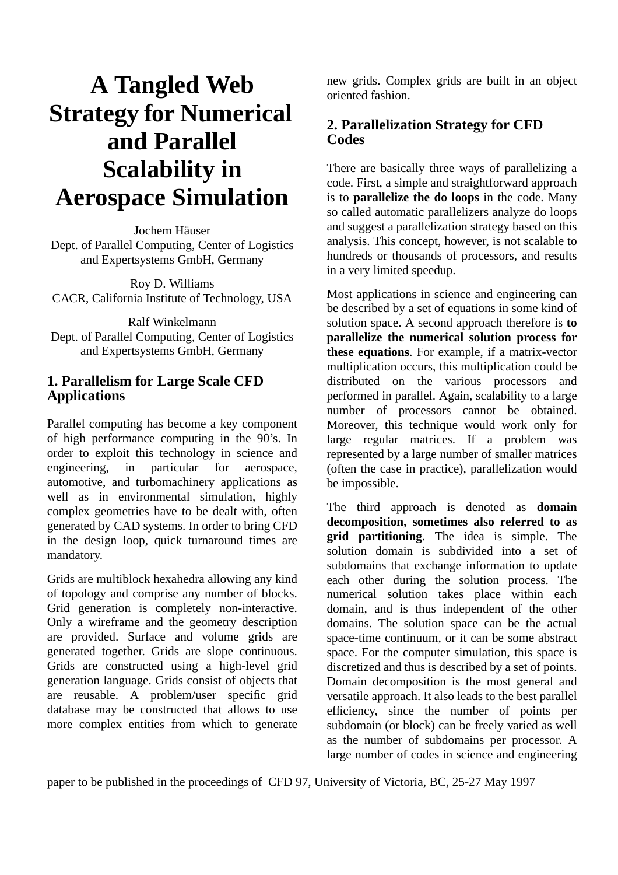# **A Tangled Web Strategy for Numerical and Parallel Scalability in Aerospace Simulation**

Jochem Häuser Dept. of Parallel Computing, Center of Logistics and Expertsystems GmbH, Germany

Roy D. Williams CACR, California Institute of Technology, USA

Ralf Winkelmann Dept. of Parallel Computing, Center of Logistics and Expertsystems GmbH, Germany

## **1. Parallelism for Large Scale CFD Applications**

Parallel computing has become a key component of high performance computing in the 90's. In order to exploit this technology in science and engineering, in particular for aerospace, automotive, and turbomachinery applications as well as in environmental simulation, highly complex geometries have to be dealt with, often generated by CAD systems. In order to bring CFD in the design loop, quick turnaround times are mandatory.

Grids are multiblock hexahedra allowing any kind of topology and comprise any number of blocks. Grid generation is completely non-interactive. Only a wireframe and the geometry description are provided. Surface and volume grids are generated together. Grids are slope continuous. Grids are constructed using a high-level grid generation language. Grids consist of objects that are reusable. A problem/user specific grid database may be constructed that allows to use more complex entities from which to generate new grids. Complex grids are built in an object oriented fashion.

## **2. Parallelization Strategy for CFD Codes**

There are basically three ways of parallelizing a code. First, a simple and straightforward approach is to **parallelize the do loops** in the code. Many so called automatic parallelizers analyze do loops and suggest a parallelization strategy based on this analysis. This concept, however, is not scalable to hundreds or thousands of processors, and results in a very limited speedup.

Most applications in science and engineering can be described by a set of equations in some kind of solution space. A second approach therefore is **to parallelize the numerical solution process for these equations**. For example, if a matrix-vector multiplication occurs, this multiplication could be distributed on the various processors and performed in parallel. Again, scalability to a large number of processors cannot be obtained. Moreover, this technique would work only for large regular matrices. If a problem was represented by a large number of smaller matrices (often the case in practice), parallelization would be impossible.

The third approach is denoted as **domain decomposition, sometimes also referred to as grid partitioning**. The idea is simple. The solution domain is subdivided into a set of subdomains that exchange information to update each other during the solution process. The numerical solution takes place within each domain, and is thus independent of the other domains. The solution space can be the actual space-time continuum, or it can be some abstract space. For the computer simulation, this space is discretized and thus is described by a set of points. Domain decomposition is the most general and versatile approach. It also leads to the best parallel efficiency, since the number of points per subdomain (or block) can be freely varied as well as the number of subdomains per processor. A large number of codes in science and engineering

paper to be published in the proceedings of CFD 97, University of Victoria, BC, 25-27 May 1997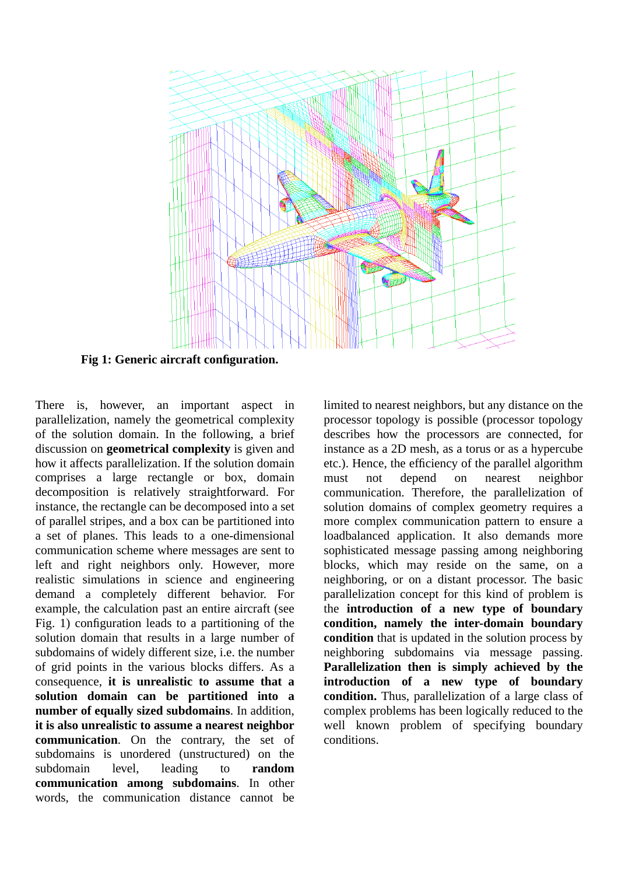

**Fig 1: Generic aircraft configuration.**

There is, however, an important aspect in parallelization, namely the geometrical complexity of the solution domain. In the following, a brief discussion on **geometrical complexity** is given and how it affects parallelization. If the solution domain comprises a large rectangle or box, domain decomposition is relatively straightforward. For instance, the rectangle can be decomposed into a set of parallel stripes, and a box can be partitioned into a set of planes. This leads to a one-dimensional communication scheme where messages are sent to left and right neighbors only. However, more realistic simulations in science and engineering demand a completely different behavior. For example, the calculation past an entire aircraft (see Fig. 1) configuration leads to a partitioning of the solution domain that results in a large number of subdomains of widely different size, i.e. the number of grid points in the various blocks differs. As a consequence, **it is unrealistic to assume that a solution domain can be partitioned into a number of equally sized subdomains**. In addition, **it is also unrealistic to assume a nearest neighbor communication**. On the contrary, the set of subdomains is unordered (unstructured) on the subdomain level, leading to **random communication among subdomains**. In other words, the communication distance cannot be

limited to nearest neighbors, but any distance on the processor topology is possible (processor topology describes how the processors are connected, for instance as a 2D mesh, as a torus or as a hypercube etc.). Hence, the efficiency of the parallel algorithm must not depend on nearest neighbor communication. Therefore, the parallelization of solution domains of complex geometry requires a more complex communication pattern to ensure a loadbalanced application. It also demands more sophisticated message passing among neighboring blocks, which may reside on the same, on a neighboring, or on a distant processor. The basic parallelization concept for this kind of problem is the **introduction of a new type of boundary condition, namely the inter-domain boundary condition** that is updated in the solution process by neighboring subdomains via message passing. **Parallelization then is simply achieved by the introduction of a new type of boundary condition.** Thus, parallelization of a large class of complex problems has been logically reduced to the well known problem of specifying boundary conditions.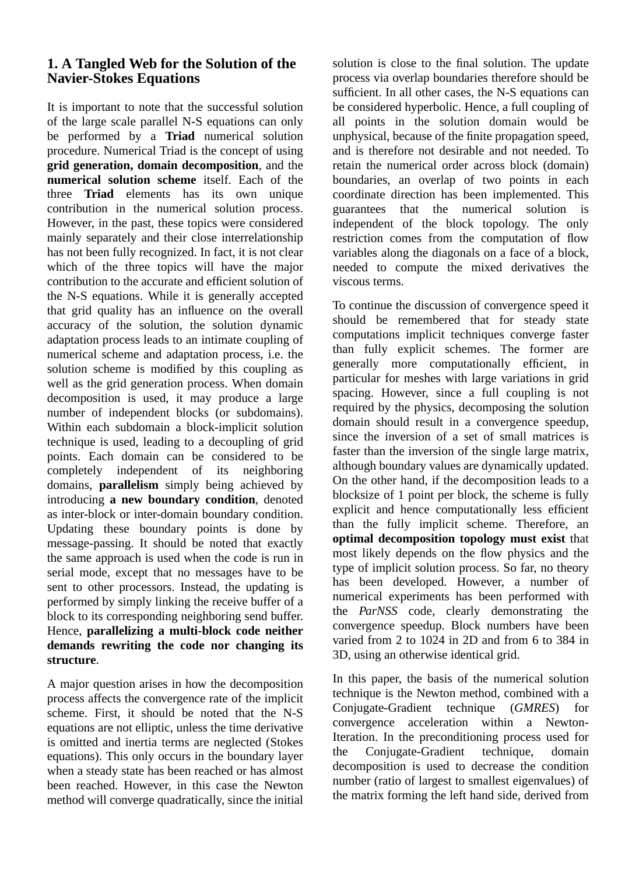#### **1. A Tangled Web for the Solution of the Navier-Stokes Equations**

It is important to note that the successful solution of the large scale parallel N-S equations can only be performed by a **Triad** numerical solution procedure. Numerical Triad is the concept of using **grid generation, domain decomposition**, and the **numerical solution scheme** itself. Each of the three **Triad** elements has its own unique contribution in the numerical solution process. However, in the past, these topics were considered mainly separately and their close interrelationship has not been fully recognized. In fact, it is not clear which of the three topics will have the major contribution to the accurate and efficient solution of the N-S equations. While it is generally accepted that grid quality has an influence on the overall accuracy of the solution, the solution dynamic adaptation process leads to an intimate coupling of numerical scheme and adaptation process, i.e. the solution scheme is modified by this coupling as well as the grid generation process. When domain decomposition is used, it may produce a large number of independent blocks (or subdomains). Within each subdomain a block-implicit solution technique is used, leading to a decoupling of grid points. Each domain can be considered to be completely independent of its neighboring domains, **parallelism** simply being achieved by introducing **a new boundary condition**, denoted as inter-block or inter-domain boundary condition. Updating these boundary points is done by message-passing. It should be noted that exactly the same approach is used when the code is run in serial mode, except that no messages have to be sent to other processors. Instead, the updating is performed by simply linking the receive buffer of a block to its corresponding neighboring send buffer. Hence, **parallelizing a multi-block code neither demands rewriting the code nor changing its structure**.

A major question arises in how the decomposition process affects the convergence rate of the implicit scheme. First, it should be noted that the N-S equations are not elliptic, unless the time derivative is omitted and inertia terms are neglected (Stokes equations). This only occurs in the boundary layer when a steady state has been reached or has almost been reached. However, in this case the Newton method will converge quadratically, since the initial

solution is close to the final solution. The update process via overlap boundaries therefore should be sufficient. In all other cases, the N-S equations can be considered hyperbolic. Hence, a full coupling of all points in the solution domain would be unphysical, because of the finite propagation speed, and is therefore not desirable and not needed. To retain the numerical order across block (domain) boundaries, an overlap of two points in each coordinate direction has been implemented. This guarantees that the numerical solution is independent of the block topology. The only restriction comes from the computation of flow variables along the diagonals on a face of a block, needed to compute the mixed derivatives the viscous terms.

To continue the discussion of convergence speed it should be remembered that for steady state computations implicit techniques converge faster than fully explicit schemes. The former are generally more computationally efficient, in particular for meshes with large variations in grid spacing. However, since a full coupling is not required by the physics, decomposing the solution domain should result in a convergence speedup, since the inversion of a set of small matrices is faster than the inversion of the single large matrix, although boundary values are dynamically updated. On the other hand, if the decomposition leads to a blocksize of 1 point per block, the scheme is fully explicit and hence computationally less efficient than the fully implicit scheme. Therefore, an **optimal decomposition topology must exist** that most likely depends on the flow physics and the type of implicit solution process. So far, no theory has been developed. However, a number of numerical experiments has been performed with the *ParNSS* code, clearly demonstrating the convergence speedup. Block numbers have been varied from 2 to 1024 in 2D and from 6 to 384 in 3D, using an otherwise identical grid.

In this paper, the basis of the numerical solution technique is the Newton method, combined with a Conjugate-Gradient technique (*GMRES*) for convergence acceleration within a Newton-Iteration. In the preconditioning process used for the Conjugate-Gradient technique, domain decomposition is used to decrease the condition number (ratio of largest to smallest eigenvalues) of the matrix forming the left hand side, derived from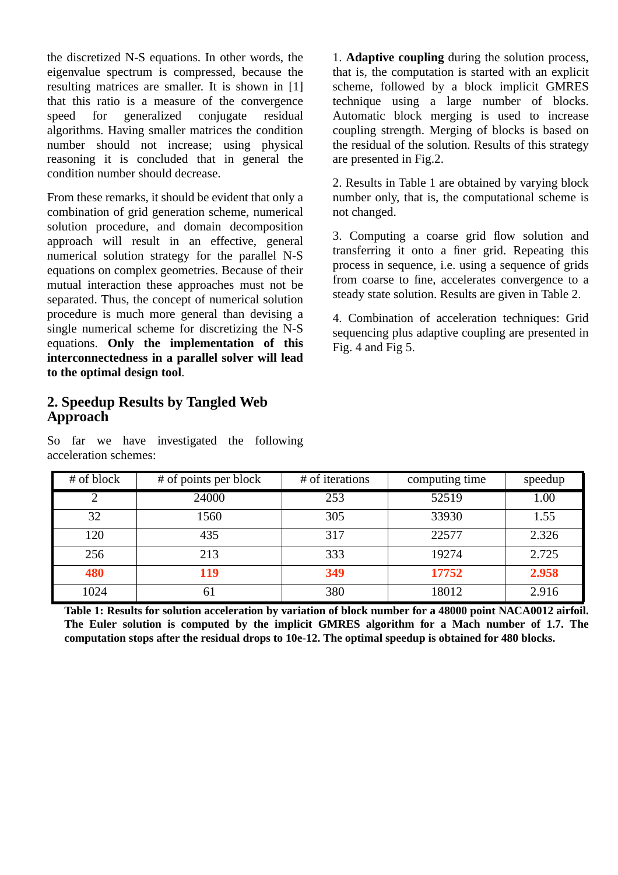the discretized N-S equations. In other words, the eigenvalue spectrum is compressed, because the resulting matrices are smaller. It is shown in [1] that this ratio is a measure of the convergence speed for generalized conjugate residual algorithms. Having smaller matrices the condition number should not increase; using physical reasoning it is concluded that in general the condition number should decrease.

From these remarks, it should be evident that only a combination of grid generation scheme, numerical solution procedure, and domain decomposition approach will result in an effective, general numerical solution strategy for the parallel N-S equations on complex geometries. Because of their mutual interaction these approaches must not be separated. Thus, the concept of numerical solution procedure is much more general than devising a single numerical scheme for discretizing the N-S equations. **Only the implementation of this interconnectedness in a parallel solver will lead to the optimal design tool**.

#### **2. Speedup Results by Tangled Web Approach**

So far we have investigated the following acceleration schemes:

1. **Adaptive coupling** during the solution process, that is, the computation is started with an explicit scheme, followed by a block implicit GMRES technique using a large number of blocks. Automatic block merging is used to increase coupling strength. Merging of blocks is based on the residual of the solution. Results of this strategy are presented in Fig.2.

2. Results in Table 1 are obtained by varying block number only, that is, the computational scheme is not changed.

3. Computing a coarse grid flow solution and transferring it onto a finer grid. Repeating this process in sequence, i.e. using a sequence of grids from coarse to fine, accelerates convergence to a steady state solution. Results are given in Table 2.

4. Combination of acceleration techniques: Grid sequencing plus adaptive coupling are presented in Fig. 4 and Fig 5.

| # of block | # of points per block | # of iterations | computing time | speedup |
|------------|-----------------------|-----------------|----------------|---------|
| 2          | 24000                 | 253             | 52519          | 1.00    |
| 32         | 1560                  | 305             | 33930          | 1.55    |
| 120        | 435                   | 317             | 22577          | 2.326   |
| 256        | 213                   | 333             | 19274          | 2.725   |
| 480        | 119                   | 349             | 17752          | 2.958   |
| 1024       | 61                    | 380             | 18012          | 2.916   |

**Table 1: Results for solution acceleration by variation of block number for a 48000 point NACA0012 airfoil. The Euler solution is computed by the implicit GMRES algorithm for a Mach number of 1.7. The computation stops after the residual drops to 10e-12. The optimal speedup is obtained for 480 blocks.**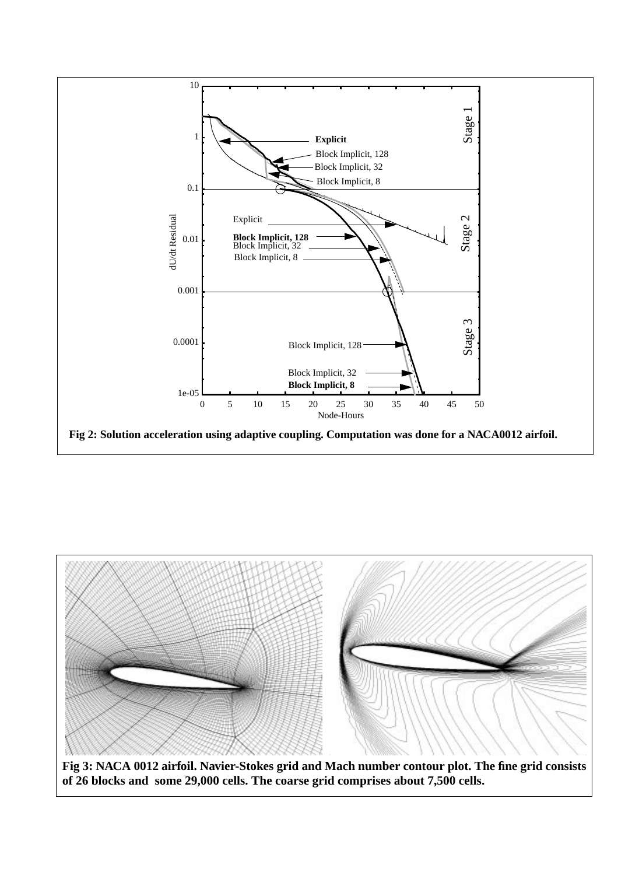



**Fig 3: NACA 0012 airfoil. Navier-Stokes grid and Mach number contour plot. The fine grid consists of 26 blocks and some 29,000 cells. The coarse grid comprises about 7,500 cells.**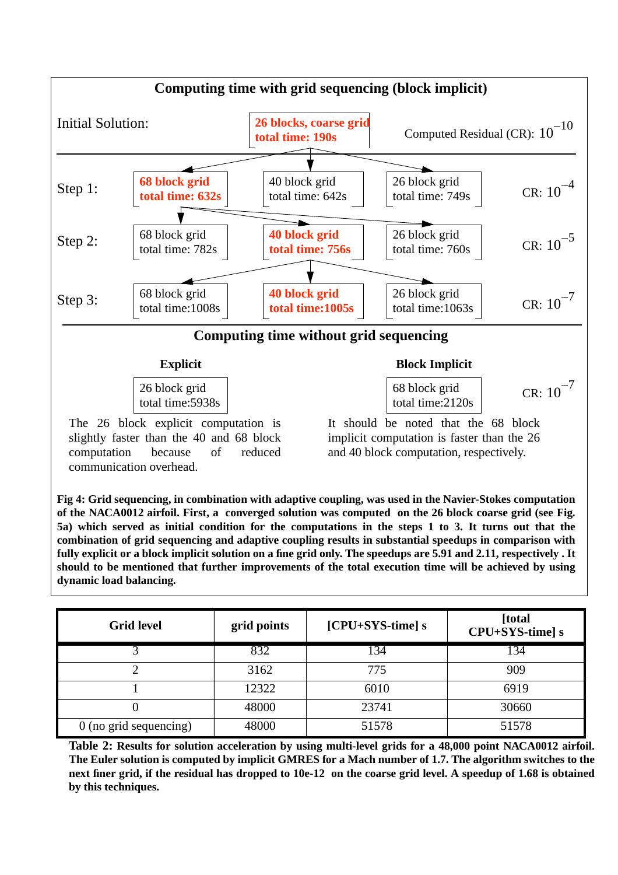

**Fig 4: Grid sequencing, in combination with adaptive coupling, was used in the Navier-Stokes computation of the NACA0012 airfoil. First, a converged solution was computed on the 26 block coarse grid (see Fig. 5a) which served as initial condition for the computations in the steps 1 to 3. It turns out that the combination of grid sequencing and adaptive coupling results in substantial speedups in comparison with fully explicit or a block implicit solution on a fine grid only. The speedups are 5.91 and 2.11, respectively . It should to be mentioned that further improvements of the total execution time will be achieved by using dynamic load balancing.**

| <b>Grid level</b>        | grid points | [CPU+SYS-time] s | [total<br>CPU+SYS-time] s |
|--------------------------|-------------|------------------|---------------------------|
|                          | 832         | 134              | 134                       |
|                          | 3162        | 775              | 909                       |
|                          | 12322       | 6010             | 6919                      |
|                          | 48000       | 23741            | 30660                     |
| $0$ (no grid sequencing) | 48000       | 51578            | 51578                     |

**Table 2: Results for solution acceleration by using multi-level grids for a 48,000 point NACA0012 airfoil. The Euler solution is computed by implicit GMRES for a Mach number of 1.7. The algorithm switches to the next finer grid, if the residual has dropped to 10e-12 on the coarse grid level. A speedup of 1.68 is obtained by this techniques.**